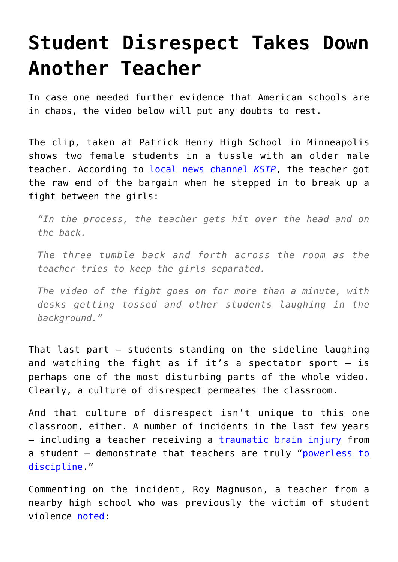## **[Student Disrespect Takes Down](https://intellectualtakeout.org/2017/02/student-disrespect-takes-down-another-teacher/) [Another Teacher](https://intellectualtakeout.org/2017/02/student-disrespect-takes-down-another-teacher/)**

In case one needed further evidence that American schools are in chaos, the video below will put any doubts to rest.

The clip, taken at Patrick Henry High School in Minneapolis shows two female students in a tussle with an older male teacher. According to [local news channel](http://kstp.com/news/patrick-henry-high-school-viral-fight/4387557/) *[KSTP](http://kstp.com/news/patrick-henry-high-school-viral-fight/4387557/)*, the teacher got the raw end of the bargain when he stepped in to break up a fight between the girls:

*"In the process, the teacher gets hit over the head and on the back.*

*The three tumble back and forth across the room as the teacher tries to keep the girls separated.*

*The video of the fight goes on for more than a minute, with desks getting tossed and other students laughing in the background."*

That last part – students standing on the sideline laughing and watching the fight as if it's a spectator sport  $-$  is perhaps one of the most disturbing parts of the whole video. Clearly, a culture of disrespect permeates the classroom.

And that culture of disrespect isn't unique to this one classroom, either. A number of incidents in the last few years – including a teacher receiving a [traumatic brain injury](https://www.intellectualtakeout.org/blog/high-school-violence-sign-schools-need-stronger-discipline-policies) from a student – demonstrate that teachers are truly "[powerless to](https://www.intellectualtakeout.org/blog/minnesota-teacher-were-powerless-discipline) [discipline.](https://www.intellectualtakeout.org/blog/minnesota-teacher-were-powerless-discipline)"

Commenting on the incident, Roy Magnuson, a teacher from a nearby high school who was previously the victim of student violence [noted](http://www.kare11.com/news/education/video-captures-fight-at-mpls-high-school/395390166):